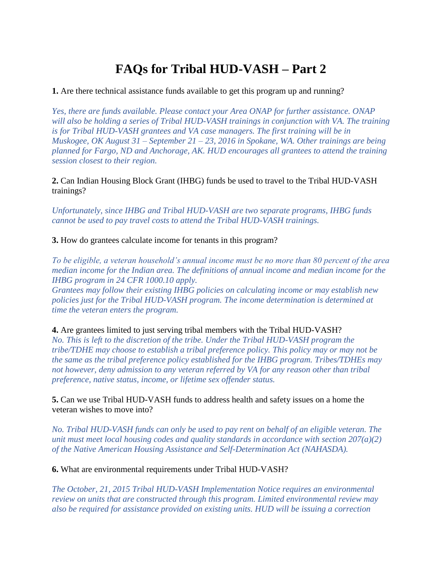## **FAQs for Tribal HUD-VASH – Part 2**

**1.** Are there technical assistance funds available to get this program up and running?

*Yes, there are funds available. Please contact your Area ONAP for further assistance. ONAP will also be holding a series of Tribal HUD-VASH trainings in conjunction with VA. The training is for Tribal HUD-VASH grantees and VA case managers. The first training will be in Muskogee, OK August 31 – September 21 – 23, 2016 in Spokane, WA. Other trainings are being planned for Fargo, ND and Anchorage, AK. HUD encourages all grantees to attend the training session closest to their region.* 

**2.** Can Indian Housing Block Grant (IHBG) funds be used to travel to the Tribal HUD-VASH trainings?

*Unfortunately, since IHBG and Tribal HUD-VASH are two separate programs, IHBG funds cannot be used to pay travel costs to attend the Tribal HUD-VASH trainings.* 

**3.** How do grantees calculate income for tenants in this program?

*To be eligible, a veteran household's annual income must be no more than 80 percent of the area median income for the Indian area. The definitions of annual income and median income for the IHBG program in 24 CFR 1000.10 apply.* 

*Grantees may follow their existing IHBG policies on calculating income or may establish new policies just for the Tribal HUD-VASH program. The income determination is determined at time the veteran enters the program.* 

**4.** Are grantees limited to just serving tribal members with the Tribal HUD-VASH? *No. This is left to the discretion of the tribe. Under the Tribal HUD-VASH program the tribe/TDHE may choose to establish a tribal preference policy. This policy may or may not be the same as the tribal preference policy established for the IHBG program. Tribes/TDHEs may not however, deny admission to any veteran referred by VA for any reason other than tribal preference, native status, income, or lifetime sex offender status.* 

**5.** Can we use Tribal HUD-VASH funds to address health and safety issues on a home the veteran wishes to move into?

*No. Tribal HUD-VASH funds can only be used to pay rent on behalf of an eligible veteran. The unit must meet local housing codes and quality standards in accordance with section 207(a)(2) of the Native American Housing Assistance and Self-Determination Act (NAHASDA).* 

**6.** What are environmental requirements under Tribal HUD-VASH?

*The October, 21, 2015 Tribal HUD-VASH Implementation Notice requires an environmental review on units that are constructed through this program. Limited environmental review may also be required for assistance provided on existing units. HUD will be issuing a correction*